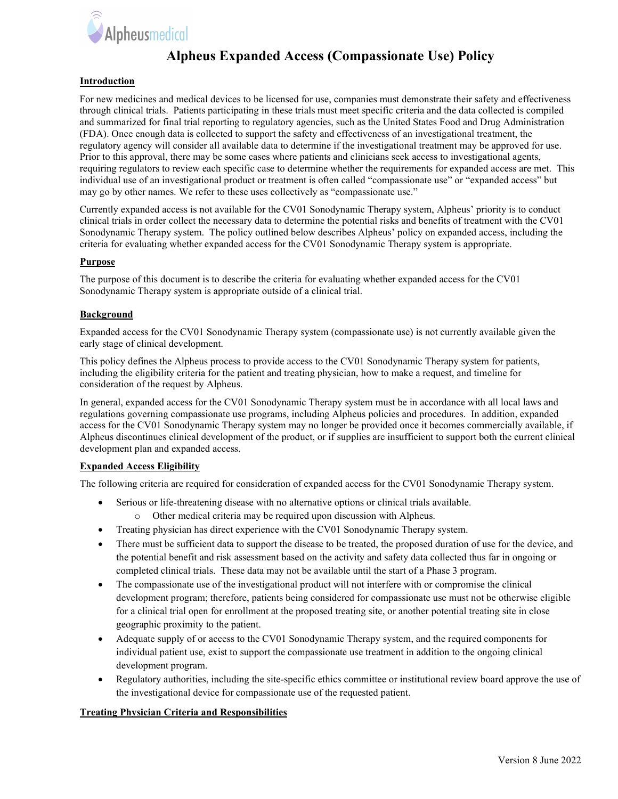

## Alpheus Expanded Access (Compassionate Use) Policy

### Introduction

For new medicines and medical devices to be licensed for use, companies must demonstrate their safety and effectiveness through clinical trials. Patients participating in these trials must meet specific criteria and the data collected is compiled and summarized for final trial reporting to regulatory agencies, such as the United States Food and Drug Administration (FDA). Once enough data is collected to support the safety and effectiveness of an investigational treatment, the regulatory agency will consider all available data to determine if the investigational treatment may be approved for use. Prior to this approval, there may be some cases where patients and clinicians seek access to investigational agents, requiring regulators to review each specific case to determine whether the requirements for expanded access are met. This individual use of an investigational product or treatment is often called "compassionate use" or "expanded access" but may go by other names. We refer to these uses collectively as "compassionate use."

Currently expanded access is not available for the CV01 Sonodynamic Therapy system, Alpheus' priority is to conduct clinical trials in order collect the necessary data to determine the potential risks and benefits of treatment with the CV01 Sonodynamic Therapy system. The policy outlined below describes Alpheus' policy on expanded access, including the criteria for evaluating whether expanded access for the CV01 Sonodynamic Therapy system is appropriate.

### **Purpose**

The purpose of this document is to describe the criteria for evaluating whether expanded access for the CV01 Sonodynamic Therapy system is appropriate outside of a clinical trial.

### **Background**

Expanded access for the CV01 Sonodynamic Therapy system (compassionate use) is not currently available given the early stage of clinical development.

This policy defines the Alpheus process to provide access to the CV01 Sonodynamic Therapy system for patients, including the eligibility criteria for the patient and treating physician, how to make a request, and timeline for consideration of the request by Alpheus.

In general, expanded access for the CV01 Sonodynamic Therapy system must be in accordance with all local laws and regulations governing compassionate use programs, including Alpheus policies and procedures. In addition, expanded access for the CV01 Sonodynamic Therapy system may no longer be provided once it becomes commercially available, if Alpheus discontinues clinical development of the product, or if supplies are insufficient to support both the current clinical development plan and expanded access.

#### Expanded Access Eligibility

The following criteria are required for consideration of expanded access for the CV01 Sonodynamic Therapy system.

- Serious or life-threatening disease with no alternative options or clinical trials available.
	- o Other medical criteria may be required upon discussion with Alpheus.
- Treating physician has direct experience with the CV01 Sonodynamic Therapy system.
- There must be sufficient data to support the disease to be treated, the proposed duration of use for the device, and the potential benefit and risk assessment based on the activity and safety data collected thus far in ongoing or completed clinical trials. These data may not be available until the start of a Phase 3 program.
- The compassionate use of the investigational product will not interfere with or compromise the clinical development program; therefore, patients being considered for compassionate use must not be otherwise eligible for a clinical trial open for enrollment at the proposed treating site, or another potential treating site in close geographic proximity to the patient.
- Adequate supply of or access to the CV01 Sonodynamic Therapy system, and the required components for individual patient use, exist to support the compassionate use treatment in addition to the ongoing clinical development program.
- Regulatory authorities, including the site-specific ethics committee or institutional review board approve the use of the investigational device for compassionate use of the requested patient.

## Treating Physician Criteria and Responsibilities